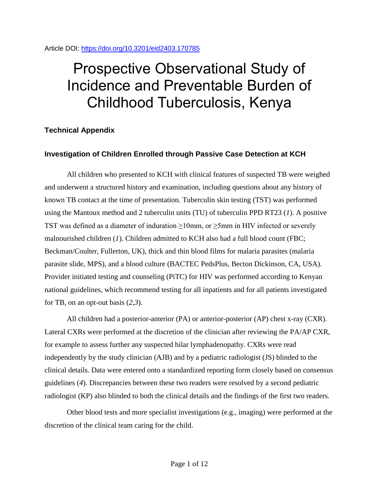# Article DOI:<https://doi.org/10.3201/eid2403.170785>

# Prospective Observational Study of Incidence and Preventable Burden of Childhood Tuberculosis, Kenya

# **Technical Appendix**

# **Investigation of Children Enrolled through Passive Case Detection at KCH**

All children who presented to KCH with clinical features of suspected TB were weighed and underwent a structured history and examination, including questions about any history of known TB contact at the time of presentation. Tuberculin skin testing (TST) was performed using the Mantoux method and 2 tuberculin units (TU) of tuberculin PPD RT23 (*1*). A positive TST was defined as a diameter of induration  $\geq 10$ mm, or  $\geq 5$ mm in HIV infected or severely malnourished children (*1*). Children admitted to KCH also had a full blood count (FBC; Beckman/Coulter, Fullerton, UK), thick and thin blood films for malaria parasites (malaria parasite slide, MPS), and a blood culture (BACTEC PedsPlus, Becton Dickinson, CA, USA). Provider initiated testing and counseling (PiTC) for HIV was performed according to Kenyan national guidelines, which recommend testing for all inpatients and for all patients investigated for TB, on an opt-out basis (*2*,*3*).

All children had a posterior-anterior (PA) or anterior-posterior (AP) chest x-ray (CXR). Lateral CXRs were performed at the discretion of the clinician after reviewing the PA/AP CXR, for example to assess further any suspected hilar lymphadenopathy. CXRs were read independently by the study clinician (AJB) and by a pediatric radiologist (JS) blinded to the clinical details. Data were entered onto a standardized reporting form closely based on consensus guidelines (*4*). Discrepancies between these two readers were resolved by a second pediatric radiologist (KP) also blinded to both the clinical details and the findings of the first two readers.

Other blood tests and more specialist investigations (e.g., imaging) were performed at the discretion of the clinical team caring for the child.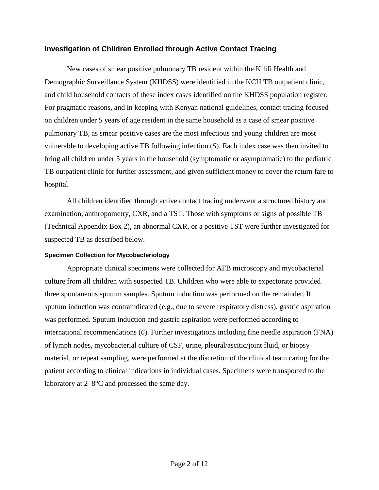# **Investigation of Children Enrolled through Active Contact Tracing**

New cases of smear positive pulmonary TB resident within the Kilifi Health and Demographic Surveillance System (KHDSS) were identified in the KCH TB outpatient clinic, and child household contacts of these index cases identified on the KHDSS population register. For pragmatic reasons, and in keeping with Kenyan national guidelines, contact tracing focused on children under 5 years of age resident in the same household as a case of smear positive pulmonary TB, as smear positive cases are the most infectious and young children are most vulnerable to developing active TB following infection (*5*). Each index case was then invited to bring all children under 5 years in the household (symptomatic or asymptomatic) to the pediatric TB outpatient clinic for further assessment, and given sufficient money to cover the return fare to hospital.

All children identified through active contact tracing underwent a structured history and examination, anthropometry, CXR, and a TST. Those with symptoms or signs of possible TB (Technical Appendix Box 2), an abnormal CXR, or a positive TST were further investigated for suspected TB as described below.

## **Specimen Collection for Mycobacteriology**

Appropriate clinical specimens were collected for AFB microscopy and mycobacterial culture from all children with suspected TB. Children who were able to expectorate provided three spontaneous sputum samples. Sputum induction was performed on the remainder. If sputum induction was contraindicated (e.g., due to severe respiratory distress), gastric aspiration was performed. Sputum induction and gastric aspiration were performed according to international recommendations (*6*). Further investigations including fine needle aspiration (FNA) of lymph nodes, mycobacterial culture of CSF, urine, pleural/ascitic/joint fluid, or biopsy material, or repeat sampling, were performed at the discretion of the clinical team caring for the patient according to clinical indications in individual cases. Specimens were transported to the laboratory at 2–8°C and processed the same day.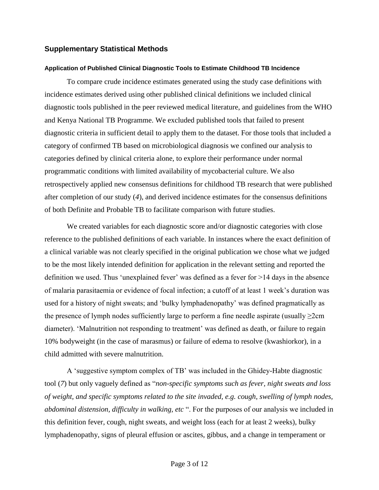# **Supplementary Statistical Methods**

#### **Application of Published Clinical Diagnostic Tools to Estimate Childhood TB Incidence**

To compare crude incidence estimates generated using the study case definitions with incidence estimates derived using other published clinical definitions we included clinical diagnostic tools published in the peer reviewed medical literature, and guidelines from the WHO and Kenya National TB Programme. We excluded published tools that failed to present diagnostic criteria in sufficient detail to apply them to the dataset. For those tools that included a category of confirmed TB based on microbiological diagnosis we confined our analysis to categories defined by clinical criteria alone, to explore their performance under normal programmatic conditions with limited availability of mycobacterial culture. We also retrospectively applied new consensus definitions for childhood TB research that were published after completion of our study (*4*), and derived incidence estimates for the consensus definitions of both Definite and Probable TB to facilitate comparison with future studies.

We created variables for each diagnostic score and/or diagnostic categories with close reference to the published definitions of each variable. In instances where the exact definition of a clinical variable was not clearly specified in the original publication we chose what we judged to be the most likely intended definition for application in the relevant setting and reported the definition we used. Thus 'unexplained fever' was defined as a fever for >14 days in the absence of malaria parasitaemia or evidence of focal infection; a cutoff of at least 1 week's duration was used for a history of night sweats; and 'bulky lymphadenopathy' was defined pragmatically as the presence of lymph nodes sufficiently large to perform a fine needle aspirate (usually  $\geq$ 2cm diameter). 'Malnutrition not responding to treatment' was defined as death, or failure to regain 10% bodyweight (in the case of marasmus) or failure of edema to resolve (kwashiorkor), in a child admitted with severe malnutrition.

A 'suggestive symptom complex of TB' was included in the Ghidey-Habte diagnostic tool (*7*) but only vaguely defined as "*non-specific symptoms such as fever, night sweats and loss of weight, and specific symptoms related to the site invaded, e.g. cough, swelling of lymph nodes, abdominal distension, difficulty in walking, etc* ". For the purposes of our analysis we included in this definition fever, cough, night sweats, and weight loss (each for at least 2 weeks), bulky lymphadenopathy, signs of pleural effusion or ascites, gibbus, and a change in temperament or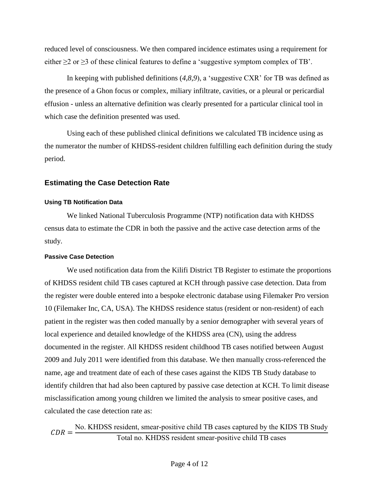reduced level of consciousness. We then compared incidence estimates using a requirement for either  $\geq 2$  or  $\geq 3$  of these clinical features to define a 'suggestive symptom complex of TB'.

In keeping with published definitions (*4*,*8*,*9*), a 'suggestive CXR' for TB was defined as the presence of a Ghon focus or complex, miliary infiltrate, cavities, or a pleural or pericardial effusion - unless an alternative definition was clearly presented for a particular clinical tool in which case the definition presented was used.

Using each of these published clinical definitions we calculated TB incidence using as the numerator the number of KHDSS-resident children fulfilling each definition during the study period.

## **Estimating the Case Detection Rate**

#### **Using TB Notification Data**

We linked National Tuberculosis Programme (NTP) notification data with KHDSS census data to estimate the CDR in both the passive and the active case detection arms of the study.

## **Passive Case Detection**

We used notification data from the Kilifi District TB Register to estimate the proportions of KHDSS resident child TB cases captured at KCH through passive case detection. Data from the register were double entered into a bespoke electronic database using Filemaker Pro version 10 (Filemaker Inc, CA, USA). The KHDSS residence status (resident or non-resident) of each patient in the register was then coded manually by a senior demographer with several years of local experience and detailed knowledge of the KHDSS area (CN), using the address documented in the register. All KHDSS resident childhood TB cases notified between August 2009 and July 2011 were identified from this database. We then manually cross-referenced the name, age and treatment date of each of these cases against the KIDS TB Study database to identify children that had also been captured by passive case detection at KCH. To limit disease misclassification among young children we limited the analysis to smear positive cases, and calculated the case detection rate as:

 $CDR = -$ No. KHDSS resident, smear-positive child TB cases captured by the KIDS TB Study Total no. KHDSS resident smear-positive child TB cases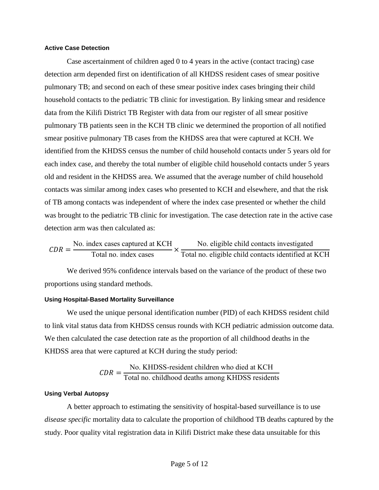## **Active Case Detection**

Case ascertainment of children aged 0 to 4 years in the active (contact tracing) case detection arm depended first on identification of all KHDSS resident cases of smear positive pulmonary TB; and second on each of these smear positive index cases bringing their child household contacts to the pediatric TB clinic for investigation. By linking smear and residence data from the Kilifi District TB Register with data from our register of all smear positive pulmonary TB patients seen in the KCH TB clinic we determined the proportion of all notified smear positive pulmonary TB cases from the KHDSS area that were captured at KCH. We identified from the KHDSS census the number of child household contacts under 5 years old for each index case, and thereby the total number of eligible child household contacts under 5 years old and resident in the KHDSS area. We assumed that the average number of child household contacts was similar among index cases who presented to KCH and elsewhere, and that the risk of TB among contacts was independent of where the index case presented or whether the child was brought to the pediatric TB clinic for investigation. The case detection rate in the active case detection arm was then calculated as:

$$
CDR = \frac{\text{No. index cases captured at KCH}}{\text{Total no. index cases}} \times \frac{\text{No. eligible child contacts investigated}}{\text{Total no. eligible child contacts identified at KCH}}
$$

We derived 95% confidence intervals based on the variance of the product of these two proportions using standard methods.

### **Using Hospital-Based Mortality Surveillance**

We used the unique personal identification number (PID) of each KHDSS resident child to link vital status data from KHDSS census rounds with KCH pediatric admission outcome data. We then calculated the case detection rate as the proportion of all childhood deaths in the KHDSS area that were captured at KCH during the study period:

$$
CDR = \frac{\text{No. KHDSS-resident children who died at KCH}}{\text{Total no. childhood deaths among KHDSS residents}}
$$

#### **Using Verbal Autopsy**

A better approach to estimating the sensitivity of hospital-based surveillance is to use *disease specific* mortality data to calculate the proportion of childhood TB deaths captured by the study. Poor quality vital registration data in Kilifi District make these data unsuitable for this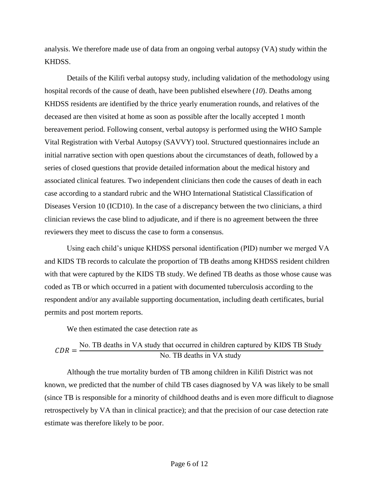analysis. We therefore made use of data from an ongoing verbal autopsy (VA) study within the KHDSS.

Details of the Kilifi verbal autopsy study, including validation of the methodology using hospital records of the cause of death, have been published elsewhere (*10*). Deaths among KHDSS residents are identified by the thrice yearly enumeration rounds, and relatives of the deceased are then visited at home as soon as possible after the locally accepted 1 month bereavement period. Following consent, verbal autopsy is performed using the WHO Sample Vital Registration with Verbal Autopsy (SAVVY) tool. Structured questionnaires include an initial narrative section with open questions about the circumstances of death, followed by a series of closed questions that provide detailed information about the medical history and associated clinical features. Two independent clinicians then code the causes of death in each case according to a standard rubric and the WHO International Statistical Classification of Diseases Version 10 (ICD10). In the case of a discrepancy between the two clinicians, a third clinician reviews the case blind to adjudicate, and if there is no agreement between the three reviewers they meet to discuss the case to form a consensus.

Using each child's unique KHDSS personal identification (PID) number we merged VA and KIDS TB records to calculate the proportion of TB deaths among KHDSS resident children with that were captured by the KIDS TB study. We defined TB deaths as those whose cause was coded as TB or which occurred in a patient with documented tuberculosis according to the respondent and/or any available supporting documentation, including death certificates, burial permits and post mortem reports.

We then estimated the case detection rate as

$$
CDR = \frac{\text{No. TB deaths in VA study that occurred in children captured by KIDS TB Study}}{\text{No. TB deaths in VA study}}
$$

Although the true mortality burden of TB among children in Kilifi District was not known, we predicted that the number of child TB cases diagnosed by VA was likely to be small (since TB is responsible for a minority of childhood deaths and is even more difficult to diagnose retrospectively by VA than in clinical practice); and that the precision of our case detection rate estimate was therefore likely to be poor.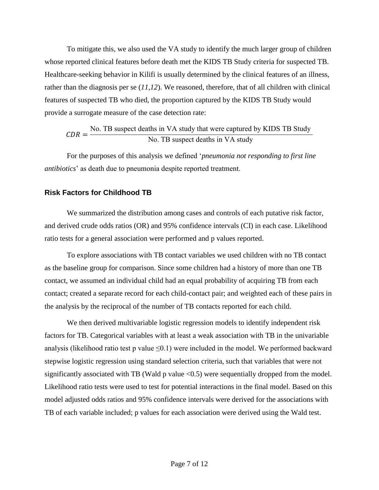To mitigate this, we also used the VA study to identify the much larger group of children whose reported clinical features before death met the KIDS TB Study criteria for suspected TB. Healthcare-seeking behavior in Kilifi is usually determined by the clinical features of an illness, rather than the diagnosis per se (*11*,*12*). We reasoned, therefore, that of all children with clinical features of suspected TB who died, the proportion captured by the KIDS TB Study would provide a surrogate measure of the case detection rate:

$$
CDR = \frac{\text{No. TB suspect deaths in VA study that were captured by KIDS TB Study}}{\text{No. TB suspect deaths in VA study}}
$$

For the purposes of this analysis we defined '*pneumonia not responding to first line antibiotics*' as death due to pneumonia despite reported treatment.

# **Risk Factors for Childhood TB**

We summarized the distribution among cases and controls of each putative risk factor, and derived crude odds ratios (OR) and 95% confidence intervals (CI) in each case. Likelihood ratio tests for a general association were performed and p values reported.

To explore associations with TB contact variables we used children with no TB contact as the baseline group for comparison. Since some children had a history of more than one TB contact, we assumed an individual child had an equal probability of acquiring TB from each contact; created a separate record for each child-contact pair; and weighted each of these pairs in the analysis by the reciprocal of the number of TB contacts reported for each child.

We then derived multivariable logistic regression models to identify independent risk factors for TB. Categorical variables with at least a weak association with TB in the univariable analysis (likelihood ratio test p value  $\leq 0.1$ ) were included in the model. We performed backward stepwise logistic regression using standard selection criteria, such that variables that were not significantly associated with TB (Wald  $p$  value <0.5) were sequentially dropped from the model. Likelihood ratio tests were used to test for potential interactions in the final model. Based on this model adjusted odds ratios and 95% confidence intervals were derived for the associations with TB of each variable included; p values for each association were derived using the Wald test.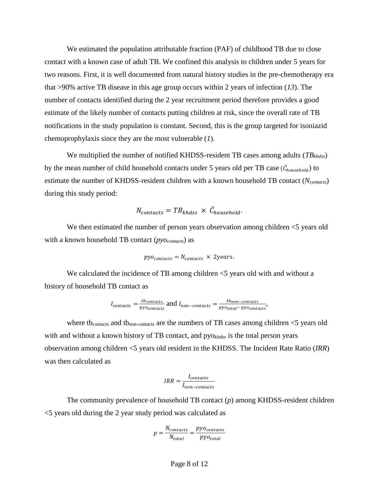We estimated the population attributable fraction (PAF) of childhood TB due to close contact with a known case of adult TB. We confined this analysis to children under 5 years for two reasons. First, it is well documented from natural history studies in the pre-chemotherapy era that >90% active TB disease in this age group occurs within 2 years of infection (*13*). The number of contacts identified during the 2 year recruitment period therefore provides a good estimate of the likely number of contacts putting children at risk, since the overall rate of TB notifications in the study population is constant. Second, this is the group targeted for isoniazid chemoprophylaxis since they are the most vulnerable (*1*).

We multiplied the number of notified KHDSS-resident TB cases among adults (*TBkhdss*) by the mean number of child household contacts under 5 years old per TB case ( $\bar{C}_{household}$ ) to estimate the number of KHDSS-resident children with a known household TB contact (*Ncontacts*) during this study period:

$$
N_{contacts} = T B_{khdss} \times \bar{C}_{household}.
$$

We then estimated the number of person years observation among children  $\leq$  years old with a known household TB contact (*pyocontacts*) as

$$
pyo_{contacts} = N_{contacts} \times 2 years.
$$

We calculated the incidence of TB among children  $\leq$  years old with and without a history of household TB contact as

$$
I_{contacts} = \frac{tb_{contacts}}{py_{contacts}} \text{ and } I_{non-contacts} = \frac{tb_{non-contacts}}{py_{ototal} - py_{contacts}},
$$

where tb<sub>contacts</sub> and tb<sub>non-contacts</sub> are the numbers of TB cases among children  $\leq$ 5 years old with and without a known history of TB contact, and pyo<sub>khdss</sub> is the total person years observation among children <5 years old resident in the KHDSS. The Incident Rate Ratio (*IRR*) was then calculated as

$$
IRR = \frac{I_{contacts}}{I_{non-contacts}}
$$

The community prevalence of household TB contact (*p*) among KHDSS-resident children <5 years old during the 2 year study period was calculated as

$$
p = \frac{N_{contacts}}{N_{total}} = \frac{pyo_{contacts}}{pyo_{total}}
$$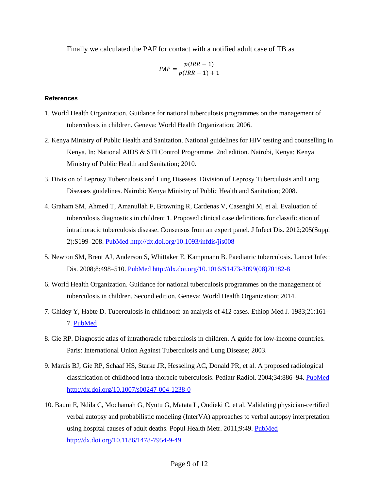Finally we calculated the PAF for contact with a notified adult case of TB as

$$
PAF = \frac{p(IRR - 1)}{p(RR - 1) + 1}
$$

## **References**

- 1. World Health Organization. Guidance for national tuberculosis programmes on the management of tuberculosis in children. Geneva: World Health Organization; 2006.
- 2. Kenya Ministry of Public Health and Sanitation. National guidelines for HIV testing and counselling in Kenya. In: National AIDS & STI Control Programme. 2nd edition. Nairobi, Kenya: Kenya Ministry of Public Health and Sanitation; 2010.
- 3. Division of Leprosy Tuberculosis and Lung Diseases. Division of Leprosy Tuberculosis and Lung Diseases guidelines. Nairobi: Kenya Ministry of Public Health and Sanitation; 2008.
- 4. Graham SM, Ahmed T, Amanullah F, Browning R, Cardenas V, Casenghi M, et al. Evaluation of tuberculosis diagnostics in children: 1. Proposed clinical case definitions for classification of intrathoracic tuberculosis disease. Consensus from an expert panel. J Infect Dis. 2012;205(Suppl 2):S199–208. [PubMed](https://www.ncbi.nlm.nih.gov/entrez/query.fcgi?cmd=Retrieve&db=PubMed&list_uids=22448023&dopt=Abstract) <http://dx.doi.org/10.1093/infdis/jis008>
- 5. Newton SM, Brent AJ, Anderson S, Whittaker E, Kampmann B. Paediatric tuberculosis. Lancet Infect Dis. 2008;8:498–510. [PubMed](https://www.ncbi.nlm.nih.gov/entrez/query.fcgi?cmd=Retrieve&db=PubMed&list_uids=18652996&dopt=Abstract) [http://dx.doi.org/10.1016/S1473-3099\(08\)70182-8](http://dx.doi.org/10.1016/S1473-3099(08)70182-8)
- 6. World Health Organization. Guidance for national tuberculosis programmes on the management of tuberculosis in children. Second edition. Geneva: World Health Organization; 2014.
- 7. Ghidey Y, Habte D. Tuberculosis in childhood: an analysis of 412 cases. Ethiop Med J. 1983;21:161– 7. [PubMed](https://www.ncbi.nlm.nih.gov/entrez/query.fcgi?cmd=Retrieve&db=PubMed&list_uids=6603973&dopt=Abstract)
- 8. Gie RP. Diagnostic atlas of intrathoracic tuberculosis in children. A guide for low-income countries. Paris: International Union Against Tuberculosis and Lung Disease; 2003.
- 9. Marais BJ, Gie RP, Schaaf HS, Starke JR, Hesseling AC, Donald PR, et al. A proposed radiological classification of childhood intra-thoracic tuberculosis. Pediatr Radiol. 2004;34:886-94. [PubMed](https://www.ncbi.nlm.nih.gov/entrez/query.fcgi?cmd=Retrieve&db=PubMed&list_uids=15300340&dopt=Abstract) <http://dx.doi.org/10.1007/s00247-004-1238-0>
- 10. Bauni E, Ndila C, Mochamah G, Nyutu G, Matata L, Ondieki C, et al. Validating physician-certified verbal autopsy and probabilistic modeling (InterVA) approaches to verbal autopsy interpretation using hospital causes of adult deaths. Popul Health Metr. 2011;9:49. [PubMed](https://www.ncbi.nlm.nih.gov/entrez/query.fcgi?cmd=Retrieve&db=PubMed&list_uids=21819603&dopt=Abstract) <http://dx.doi.org/10.1186/1478-7954-9-49>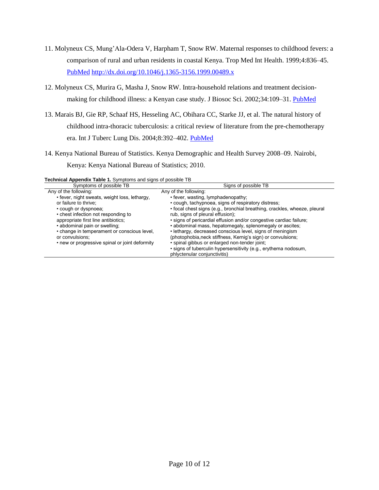- 11. Molyneux CS, Mung'Ala-Odera V, Harpham T, Snow RW. Maternal responses to childhood fevers: a comparison of rural and urban residents in coastal Kenya. Trop Med Int Health. 1999;4:836–45[.](https://www.ncbi.nlm.nih.gov/entrez/query.fcgi?cmd=Retrieve&db=PubMed&list_uids=10632992&dopt=Abstract) [PubMed](https://www.ncbi.nlm.nih.gov/entrez/query.fcgi?cmd=Retrieve&db=PubMed&list_uids=10632992&dopt=Abstract) <http://dx.doi.org/10.1046/j.1365-3156.1999.00489.x>
- 12. Molyneux CS, Murira G, Masha J, Snow RW. Intra-household relations and treatment decisionmaking for childhood illness: a Kenyan case study. J Biosoc Sci. 2002;34:109–31. [PubMed](https://www.ncbi.nlm.nih.gov/entrez/query.fcgi?cmd=Retrieve&db=PubMed&list_uids=11814209&dopt=Abstract)
- 13. Marais BJ, Gie RP, Schaaf HS, Hesseling AC, Obihara CC, Starke JJ, et al. The natural history of childhood intra-thoracic tuberculosis: a critical review of literature from the pre-chemotherapy era. Int J Tuberc Lung Dis. 2004;8:392–402. [PubMed](https://www.ncbi.nlm.nih.gov/entrez/query.fcgi?cmd=Retrieve&db=PubMed&list_uids=15141729&dopt=Abstract)
- 14. Kenya National Bureau of Statistics. Kenya Demographic and Health Survey 2008–09. Nairobi, Kenya: Kenya National Bureau of Statistics; 2010.

| echnical Appendix Table 1. Symptoms and signs of possible TB |                                                                           |
|--------------------------------------------------------------|---------------------------------------------------------------------------|
| Symptoms of possible TB                                      | Signs of possible TB                                                      |
| Any of the following:                                        | Any of the following:                                                     |
| • fever, night sweats, weight loss, lethargy,                | • fever, wasting, lymphadenopathy;                                        |
| or failure to thrive;                                        | • cough, tachypnoea, signs of respiratory distress;                       |
| • cough or dyspnoea;                                         | • focal chest signs (e.g., bronchial breathing, crackles, wheeze, pleural |
| • chest infection not responding to                          | rub, signs of pleural effusion);                                          |
| appropriate first line antibiotics;                          | . signs of pericardial effusion and/or congestive cardiac failure;        |
| • abdominal pain or swelling;                                | • abdominal mass, hepatomegaly, splenomegaly or ascites;                  |
| • change in temperament or conscious level,                  | • lethargy, decreased conscious level, signs of meningism                 |
| or convulsions:                                              | (photophobia, neck stiffness, Kernig's sign) or convulsions;              |
| • new or progressive spinal or joint deformity               | · spinal gibbus or enlarged non-tender joint;                             |

phlyctenular conjunctivitis)

• signs of tuberculin hypersensitivity (e.g., erythema nodosum,

**Technical Appendix Table 1.** Symptoms and signs of possible TB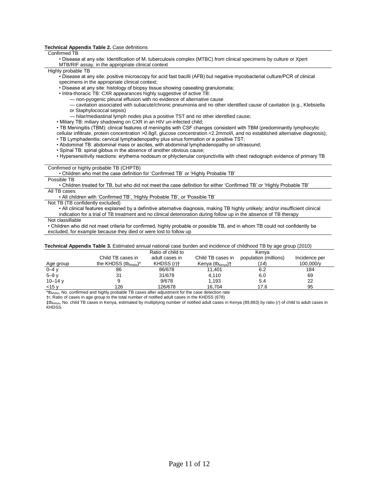#### **Technical Appendix Table 2.** Case definitions

#### Confirmed TB

• Disease at any site: Identification of M. tuberculosis complex (MTBC) from clinical specimens by culture or Xpert MTB/RIF assay, in the appropriate clinical context

#### Highly probable TB

• Disease at any site: positive microscopy for acid fast bacilli (AFB) but negative mycobacterial culture/PCR of clinical specimens in the appropriate clinical context;

• Disease at any site: histology of biopsy tissue showing caseating granulomata;

- Intra-thoracic TB: CXR appearances highly suggestive of active TB:
	- non-pyogenic pleural effusion with no evidence of alternative cause

— cavitation associated with subacute/chronic pneumonia and no other identified cause of cavitation (e.g., Klebsiella or Staphylococcal sepsis)

— hilar/mediastinal lymph nodes plus a positive TST and no other identified cause;

• Miliary TB: miliary shadowing on CXR in an HIV un-infected child;

• TB Meningitis (TBM): clinical features of meningitis with CSF changes consistent with TBM (predominantly lymphocytic

cellular infiltrate, protein concentration >0.8g/l, glucose concentration <2.2mmol/l, and no established alternative diagnosis);

• TB Lymphadenitis: cervical lymphadenopathy plus sinus formation or a positive TST;

• Abdominal TB: abdominal mass or ascites, with abdominal lymphadenopathy on ultrasound;

• Spinal TB: spinal gibbus in the absence of another obvious cause;

• Hypersensitivity reactions: erythema nodosum or phlyctenular conjunctivitis with chest radiograph evidence of primary TB

#### Confirmed or highly probable TB (CHPTB)

• Children who met the case definition for 'Confirmed TB' or 'Highly Probable TB'

Possible TB

• Children treated for TB, but who did not meet the case definition for either 'Confirmed TB' or 'Highly Probable TB' All TB cases

• All children with 'Confirmed TB', 'Highly Probable TB', or 'Possible TB'

Not TB (TB confidently excluded)

• All clinical features explained by a definitive alternative diagnosis, making TB highly unlikely; and/or insufficient clinical indication for a trial of TB treatment and no clinical deterioration during follow up in the absence of TB therapy

Not classifiable

• Children who did not meet criteria for confirmed, highly probable or possible TB, and in whom TB could not confidently be excluded, for example because they died or were lost to follow up

| <b>Technical Appendix Table 3.</b> Estimated annual national case burden and incidence of childhood TB by age group (2010) |                            |                          |                                |                       |               |
|----------------------------------------------------------------------------------------------------------------------------|----------------------------|--------------------------|--------------------------------|-----------------------|---------------|
|                                                                                                                            |                            | Ratio of child to        |                                | Kenva                 |               |
|                                                                                                                            | Child TB cases in          | adult cases in           | Child TB cases in              | population (millions) | Incidence per |
| Age group                                                                                                                  | the KHDSS $(tb_{khdss})^*$ | KHDSS $(n)$ <sup>+</sup> | Kenya (t $b_{\text{kenva}}$ )† | (14)                  | 100,000/y     |
| $0 - 4y$                                                                                                                   | 86                         | 86/678                   | 11.401                         | 6.2                   | 184           |
| $5 - 9$ $V$                                                                                                                | 31                         | 31/678                   | 4.110                          | 6.0                   | 69            |
| $10 - 14$ y                                                                                                                |                            | 9/678                    | 1.193                          | 5.4                   | 22            |
| $<$ 15 v                                                                                                                   | 126                        | 126/678                  | 16.704                         | 17.6                  | 95            |

\*tbkhdss, No. confirmed and highly probable TB cases after adjustment for the case detection rate

†*r*, Ratio of cases in age group to the total number of notified adult cases in the KHDSS (678)

‡tbkenya, No. child TB cases in Kenya, estimated by multiplying number of notified adult cases in Kenya (89,883) by ratio (*r*) of child to adult cases in KHDSS.